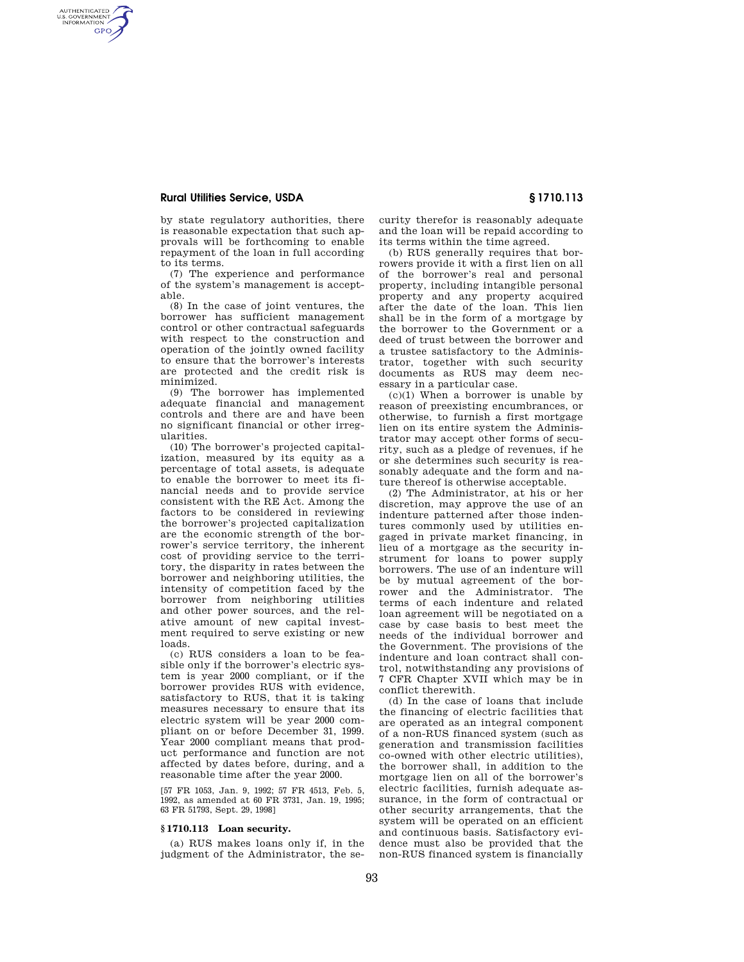## **Rural Utilities Service, USDA § 1710.113**

AUTHENTICATED<br>U.S. GOVERNMENT<br>INFORMATION **GPO** 

> by state regulatory authorities, there is reasonable expectation that such approvals will be forthcoming to enable repayment of the loan in full according to its terms.

> (7) The experience and performance of the system's management is acceptable.

> (8) In the case of joint ventures, the borrower has sufficient management control or other contractual safeguards with respect to the construction and operation of the jointly owned facility to ensure that the borrower's interests are protected and the credit risk is minimized.

> (9) The borrower has implemented adequate financial and management controls and there are and have been no significant financial or other irregularities.

> (10) The borrower's projected capitalization, measured by its equity as a percentage of total assets, is adequate to enable the borrower to meet its financial needs and to provide service consistent with the RE Act. Among the factors to be considered in reviewing the borrower's projected capitalization are the economic strength of the borrower's service territory, the inherent cost of providing service to the territory, the disparity in rates between the borrower and neighboring utilities, the intensity of competition faced by the borrower from neighboring utilities and other power sources, and the relative amount of new capital investment required to serve existing or new loads.

> (c) RUS considers a loan to be feasible only if the borrower's electric system is year 2000 compliant, or if the borrower provides RUS with evidence. satisfactory to RUS, that it is taking measures necessary to ensure that its electric system will be year 2000 compliant on or before December 31, 1999. Year 2000 compliant means that product performance and function are not affected by dates before, during, and a reasonable time after the year 2000.

> [57 FR 1053, Jan. 9, 1992; 57 FR 4513, Feb. 5, 1992, as amended at 60 FR 3731, Jan. 19, 1995; 63 FR 51793, Sept. 29, 1998]

## **§ 1710.113 Loan security.**

(a) RUS makes loans only if, in the judgment of the Administrator, the security therefor is reasonably adequate and the loan will be repaid according to its terms within the time agreed.

(b) RUS generally requires that borrowers provide it with a first lien on all of the borrower's real and personal property, including intangible personal property and any property acquired after the date of the loan. This lien shall be in the form of a mortgage by the borrower to the Government or a deed of trust between the borrower and a trustee satisfactory to the Administrator, together with such security documents as RUS may deem necessary in a particular case.

 $(c)(1)$  When a borrower is unable by reason of preexisting encumbrances, or otherwise, to furnish a first mortgage lien on its entire system the Administrator may accept other forms of security, such as a pledge of revenues, if he or she determines such security is reasonably adequate and the form and nature thereof is otherwise acceptable.

(2) The Administrator, at his or her discretion, may approve the use of an indenture patterned after those indentures commonly used by utilities engaged in private market financing, in lieu of a mortgage as the security instrument for loans to power supply borrowers. The use of an indenture will be by mutual agreement of the borrower and the Administrator. The terms of each indenture and related loan agreement will be negotiated on a case by case basis to best meet the needs of the individual borrower and the Government. The provisions of the indenture and loan contract shall control, notwithstanding any provisions of 7 CFR Chapter XVII which may be in conflict therewith.

(d) In the case of loans that include the financing of electric facilities that are operated as an integral component of a non-RUS financed system (such as generation and transmission facilities co-owned with other electric utilities), the borrower shall, in addition to the mortgage lien on all of the borrower's electric facilities, furnish adequate assurance, in the form of contractual or other security arrangements, that the system will be operated on an efficient and continuous basis. Satisfactory evidence must also be provided that the non-RUS financed system is financially